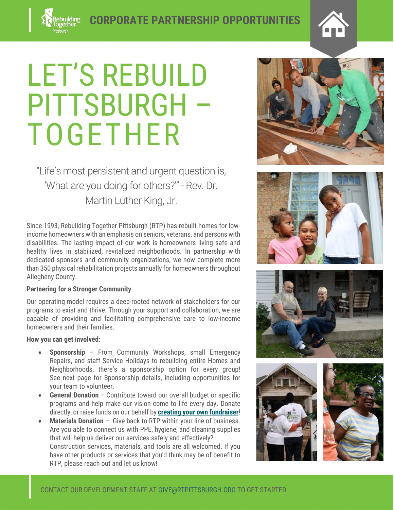## LET'S REBUILD PITTSBURGH – TOGETHER

"Life's most persistent and urgent question is, 'What are you doing for others?'" - Rev. Dr. Martin Luther King, Jr.

Since 1993, Rebuilding Together Pittsburgh (RTP) has rebuilt homes for lowincome homeowners with an emphasis on seniors, veterans, and persons with disabilities. The lasting impact of our work is homeowners living safe and healthy lives in stabilized, revitalized neighborhoods. In partnership with dedicated sponsors and community organizations, we now complete more than 350 physical rehabilitation projects annually for homeowners throughout Allegheny County.

## **Partnering for a Stronger Community**

Our operating model requires a deep-rooted network of stakeholders for our programs to exist and thrive. Through your support and collaboration, we are capable of providing and facilitating comprehensive care to low-income homeowners and their families.

## **How you can get involved:**

- **Sponsorship** From Community Workshops, small Emergency Repairs, and staff Service Holidays to rebuilding entire Homes and Neighborhoods, there's a sponsorship option for every group! See next page for Sponsorship details, including opportunities for your team to volunteer.
- **General Donation** Contribute toward our overall budget or specific programs and help make our vision come to life every day. Donate directly, or raise funds on our behalf by **[creating your own fundraiser](https://rtp.goodworldnow.com/o/rebuilding-together-pittsburgh/create-campaign?sourceId=624f034d4f3542473f640ca2)**!
- **Materials Donation** Give back to RTP within your line of business. Are you able to connect us with PPE, hygiene, and cleaning supplies that will help us deliver our services safely and effectively? Construction services, materials, and tools are all welcomed. If you have other products or services that you'd think may be of benefit to RTP, please reach out and let us know!